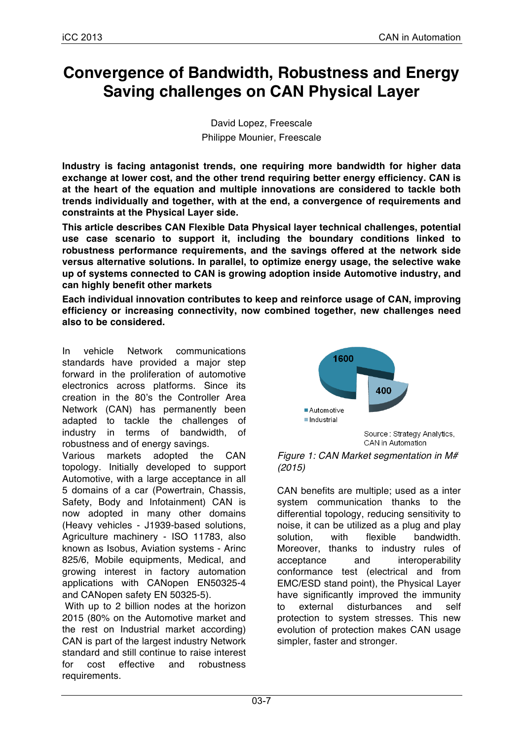# **Convergence of Bandwidth, Robustness and Energy Saving challenges on CAN Physical Layer**

David Lopez, Freescale Philippe Mounier, Freescale

**Industry is facing antagonist trends, one requiring more bandwidth for higher data exchange at lower cost, and the other trend requiring better energy efficiency. CAN is at the heart of the equation and multiple innovations are considered to tackle both trends individually and together, with at the end, a convergence of requirements and constraints at the Physical Layer side.**

**This article describes CAN Flexible Data Physical layer technical challenges, potential use case scenario to support it, including the boundary conditions linked to robustness performance requirements, and the savings offered at the network side versus alternative solutions. In parallel, to optimize energy usage, the selective wake up of systems connected to CAN is growing adoption inside Automotive industry, and can highly benefit other markets**

**Each individual innovation contributes to keep and reinforce usage of CAN, improving efficiency or increasing connectivity, now combined together, new challenges need also to be considered.**

In vehicle Network communications standards have provided a major step forward in the proliferation of automotive electronics across platforms. Since its creation in the 80's the Controller Area Network (CAN) has permanently been adapted to tackle the challenges of industry in terms of bandwidth, of robustness and of energy savings.

Various markets adopted the CAN topology. Initially developed to support Automotive, with a large acceptance in all 5 domains of a car (Powertrain, Chassis, Safety, Body and Infotainment) CAN is now adopted in many other domains (Heavy vehicles - J1939-based solutions, Agriculture machinery - ISO 11783, also known as Isobus, Aviation systems - Arinc 825/6, Mobile equipments, Medical, and growing interest in factory automation applications with CANopen EN50325-4 and CANopen safety EN 50325-5).

With up to 2 billion nodes at the horizon 2015 (80% on the Automotive market and the rest on Industrial market according) CAN is part of the largest industry Network standard and still continue to raise interest for cost effective and robustness requirements.



*Figure 1: CAN Market segmentation in M# (2015)*

CAN benefits are multiple; used as a inter system communication thanks to the differential topology, reducing sensitivity to noise, it can be utilized as a plug and play solution, with flexible bandwidth. Moreover, thanks to industry rules of acceptance and interoperability conformance test (electrical and from EMC/ESD stand point), the Physical Layer have significantly improved the immunity to external disturbances and self protection to system stresses. This new evolution of protection makes CAN usage simpler, faster and stronger.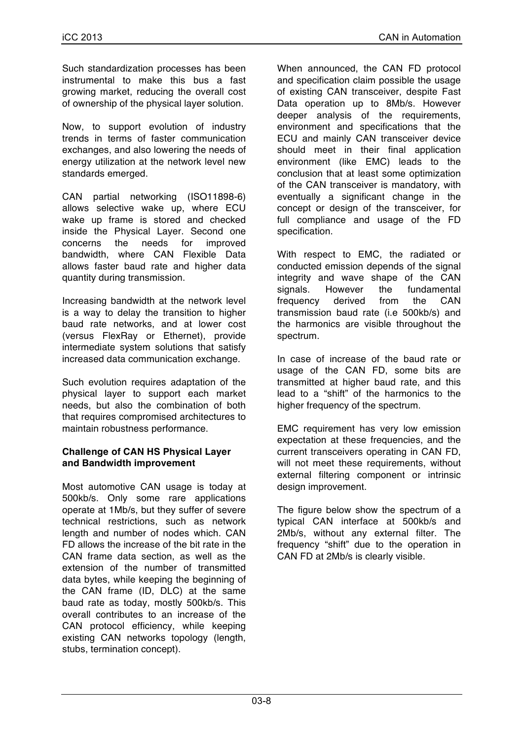Such standardization processes has been instrumental to make this bus a fast growing market, reducing the overall cost of ownership of the physical layer solution.

Now, to support evolution of industry trends in terms of faster communication exchanges, and also lowering the needs of energy utilization at the network level new standards emerged.

CAN partial networking (ISO11898-6) allows selective wake up, where ECU wake up frame is stored and checked inside the Physical Layer. Second one concerns the needs for improved bandwidth, where CAN Flexible Data allows faster baud rate and higher data quantity during transmission.

Increasing bandwidth at the network level is a way to delay the transition to higher baud rate networks, and at lower cost (versus FlexRay or Ethernet), provide intermediate system solutions that satisfy increased data communication exchange.

Such evolution requires adaptation of the physical layer to support each market needs, but also the combination of both that requires compromised architectures to maintain robustness performance.

#### **Challenge of CAN HS Physical Layer and Bandwidth improvement**

Most automotive CAN usage is today at 500kb/s. Only some rare applications operate at 1Mb/s, but they suffer of severe technical restrictions, such as network length and number of nodes which. CAN FD allows the increase of the bit rate in the CAN frame data section, as well as the extension of the number of transmitted data bytes, while keeping the beginning of the CAN frame (ID, DLC) at the same baud rate as today, mostly 500kb/s. This overall contributes to an increase of the CAN protocol efficiency, while keeping existing CAN networks topology (length, stubs, termination concept).

When announced, the CAN FD protocol and specification claim possible the usage of existing CAN transceiver, despite Fast Data operation up to 8Mb/s. However deeper analysis of the requirements, environment and specifications that the ECU and mainly CAN transceiver device should meet in their final application environment (like EMC) leads to the conclusion that at least some optimization of the CAN transceiver is mandatory, with eventually a significant change in the concept or design of the transceiver, for full compliance and usage of the FD specification.

With respect to EMC, the radiated or conducted emission depends of the signal integrity and wave shape of the CAN signals. However the fundamental frequency derived from the CAN transmission baud rate (i.e 500kb/s) and the harmonics are visible throughout the spectrum.

In case of increase of the baud rate or usage of the CAN FD, some bits are transmitted at higher baud rate, and this lead to a "shift" of the harmonics to the higher frequency of the spectrum.

EMC requirement has very low emission expectation at these frequencies, and the current transceivers operating in CAN FD, will not meet these requirements, without external filtering component or intrinsic design improvement.

The figure below show the spectrum of a typical CAN interface at 500kb/s and 2Mb/s, without any external filter. The frequency "shift" due to the operation in CAN FD at 2Mb/s is clearly visible.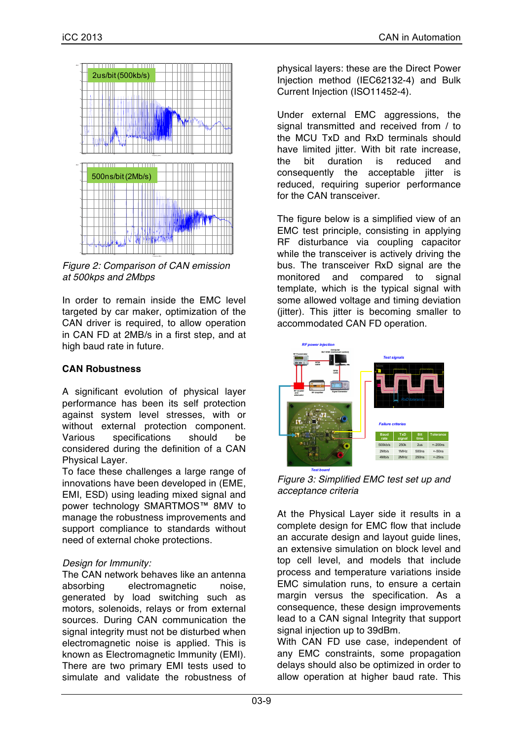

*Figure 2: Comparison of CAN emission at 500kps and 2Mbps*

In order to remain inside the EMC level targeted by car maker, optimization of the CAN driver is required, to allow operation in CAN FD at 2MB/s in a first step, and at high baud rate in future.

## **CAN Robustness**

A significant evolution of physical layer performance has been its self protection against system level stresses, with or without external protection component. Various specifications should be considered during the definition of a CAN Physical Layer.

To face these challenges a large range of innovations have been developed in (EME, EMI, ESD) using leading mixed signal and power technology SMARTMOS™ 8MV to manage the robustness improvements and support compliance to standards without need of external choke protections.

## *Design for Immunity:*

The CAN network behaves like an antenna absorbing electromagnetic noise, generated by load switching such as motors, solenoids, relays or from external sources. During CAN communication the signal integrity must not be disturbed when electromagnetic noise is applied. This is known as Electromagnetic Immunity (EMI). There are two primary EMI tests used to simulate and validate the robustness of physical layers: these are the Direct Power Injection method (IEC62132-4) and Bulk Current Injection (ISO11452-4).

Under external EMC aggressions, the signal transmitted and received from / to the MCU TxD and RxD terminals should have limited jitter. With bit rate increase, the bit duration is reduced and consequently the acceptable jitter is reduced, requiring superior performance for the CAN transceiver.

The figure below is a simplified view of an EMC test principle, consisting in applying RF disturbance via coupling capacitor while the transceiver is actively driving the bus. The transceiver RxD signal are the monitored and compared to signal template, which is the typical signal with some allowed voltage and timing deviation (jitter). This jitter is becoming smaller to accommodated CAN FD operation.



*Figure 3: Simplified EMC test set up and acceptance criteria*

At the Physical Layer side it results in a complete design for EMC flow that include an accurate design and layout guide lines, an extensive simulation on block level and top cell level, and models that include process and temperature variations inside EMC simulation runs, to ensure a certain margin versus the specification. As a consequence, these design improvements lead to a CAN signal Integrity that support signal injection up to 39dBm.

With CAN FD use case, independent of any EMC constraints, some propagation delays should also be optimized in order to allow operation at higher baud rate. This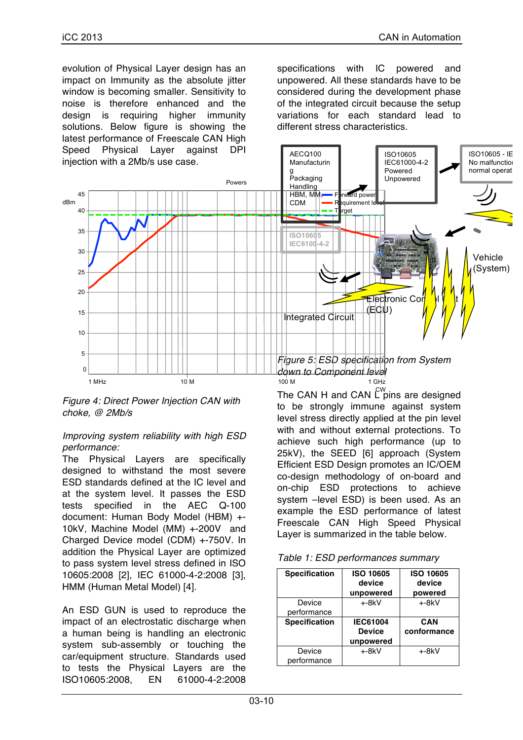evolution of Physical Layer design has an impact on Immunity as the absolute jitter window is becoming smaller. Sensitivity to noise is therefore enhanced and the design is requiring higher immunity solutions. Below figure is showing the latest performance of Freescale CAN High Speed Physical Layer against DPI specifications with IC powered and unpowered. All these standards have to be considered during the development phase of the integrated circuit because the setup variations for each standard lead to different stress characteristics.



*Figure 4: Direct Power Injection CAN with choke, @ 2Mb/s*

#### *Improving system reliability with high ESD performance:*

The Physical Layers are specifically designed to withstand the most severe ESD standards defined at the IC level and at the system level. It passes the ESD tests specified in the AEC Q-100 document: Human Body Model (HBM) +- 10kV, Machine Model (MM) +-200V and Charged Device model (CDM) +-750V. In addition the Physical Layer are optimized to pass system level stress defined in ISO 10605:2008 [2], IEC 61000-4-2:2008 [3], HMM (Human Metal Model) [4].

An ESD GUN is used to reproduce the impact of an electrostatic discharge when a human being is handling an electronic system sub-assembly or touching the car/equipment structure. Standards used to tests the Physical Layers are the ISO10605:2008, EN 61000-4-2:2008

The CAN H and CAN  $\mathsf{C}^\mathsf{w}\!$ pins are designed to be strongly immune against system level stress directly applied at the pin level with and without external protections. To achieve such high performance (up to 25kV), the SEED [6] approach (System Efficient ESD Design promotes an IC/OEM co-design methodology of on-board and on-chip ESD protections to achieve system –level ESD) is been used. As an example the ESD performance of latest Freescale CAN High Speed Physical Layer is summarized in the table below.

| <b>Specification</b> | <b>ISO 10605</b><br>device<br>unpowered | <b>ISO 10605</b><br>device<br>powered |
|----------------------|-----------------------------------------|---------------------------------------|
| Device               | $+8kV$                                  | $+8kV$                                |
| performance          |                                         |                                       |
| <b>Specification</b> | <b>IEC61004</b>                         | CAN                                   |
|                      | <b>Device</b>                           | conformance                           |
|                      | unpowered                               |                                       |
| Device               | $+8kV$                                  | +-8kV                                 |
| performance          |                                         |                                       |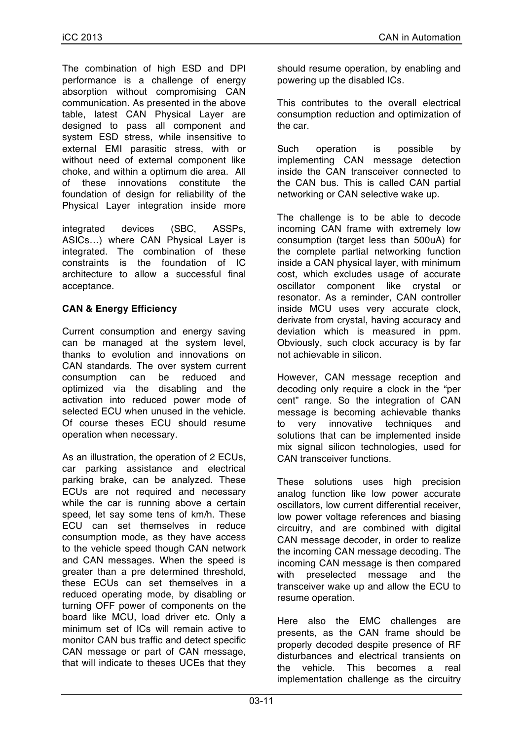The combination of high ESD and DPI performance is a challenge of energy absorption without compromising CAN communication. As presented in the above table, latest CAN Physical Layer are designed to pass all component and system ESD stress, while insensitive to external EMI parasitic stress, with or without need of external component like choke, and within a optimum die area. All of these innovations constitute the foundation of design for reliability of the Physical Layer integration inside more

integrated devices (SBC, ASSPs, ASICs…) where CAN Physical Layer is integrated. The combination of these constraints is the foundation of IC architecture to allow a successful final acceptance.

## **CAN & Energy Efficiency**

Current consumption and energy saving can be managed at the system level, thanks to evolution and innovations on CAN standards. The over system current consumption can be reduced and optimized via the disabling and the activation into reduced power mode of selected ECU when unused in the vehicle. Of course theses ECU should resume operation when necessary.

As an illustration, the operation of 2 ECUs, car parking assistance and electrical parking brake, can be analyzed. These ECUs are not required and necessary while the car is running above a certain speed, let say some tens of km/h. These ECU can set themselves in reduce consumption mode, as they have access to the vehicle speed though CAN network and CAN messages. When the speed is greater than a pre determined threshold, these ECUs can set themselves in a reduced operating mode, by disabling or turning OFF power of components on the board like MCU, load driver etc. Only a minimum set of ICs will remain active to monitor CAN bus traffic and detect specific CAN message or part of CAN message, that will indicate to theses UCEs that they

should resume operation, by enabling and powering up the disabled ICs.

This contributes to the overall electrical consumption reduction and optimization of the car.

Such operation is possible by implementing CAN message detection inside the CAN transceiver connected to the CAN bus. This is called CAN partial networking or CAN selective wake up.

The challenge is to be able to decode incoming CAN frame with extremely low consumption (target less than 500uA) for the complete partial networking function inside a CAN physical layer, with minimum cost, which excludes usage of accurate oscillator component like crystal or resonator. As a reminder, CAN controller inside MCU uses very accurate clock, derivate from crystal, having accuracy and deviation which is measured in ppm. Obviously, such clock accuracy is by far not achievable in silicon.

However, CAN message reception and decoding only require a clock in the "per cent" range. So the integration of CAN message is becoming achievable thanks to very innovative techniques and solutions that can be implemented inside mix signal silicon technologies, used for CAN transceiver functions.

These solutions uses high precision analog function like low power accurate oscillators, low current differential receiver, low power voltage references and biasing circuitry, and are combined with digital CAN message decoder, in order to realize the incoming CAN message decoding. The incoming CAN message is then compared with preselected message and the transceiver wake up and allow the ECU to resume operation.

Here also the EMC challenges are presents, as the CAN frame should be properly decoded despite presence of RF disturbances and electrical transients on the vehicle. This becomes a real implementation challenge as the circuitry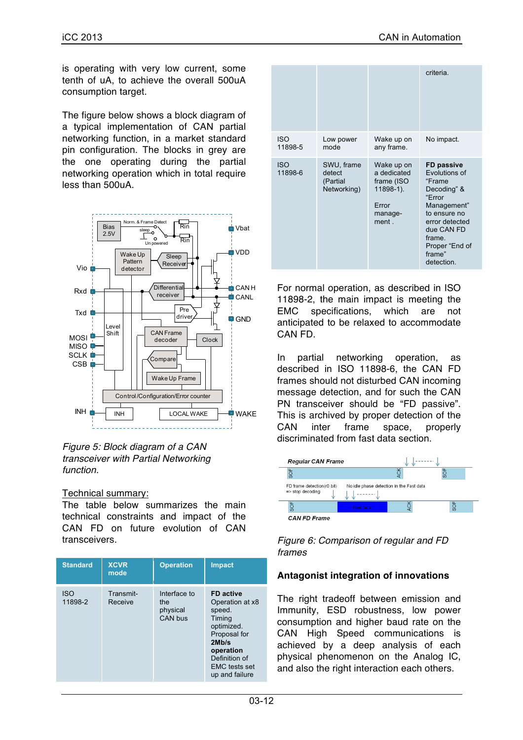is operating with very low current, some tenth of uA, to achieve the overall 500uA consumption target.

The figure below shows a block diagram of a typical implementation of CAN partial networking function, in a market standard pin configuration. The blocks in grey are the one operating during the partial networking operation which in total require less than 500uA.





#### Technical summary:

The table below summarizes the main technical constraints and impact of the CAN FD on future evolution of CAN transceivers.

| <b>Standard</b>       | <b>XCVR</b><br>mode  | <b>Operation</b>                           | <b>Impact</b>                                                                                                                                                          |
|-----------------------|----------------------|--------------------------------------------|------------------------------------------------------------------------------------------------------------------------------------------------------------------------|
| <b>ISO</b><br>11898-2 | Transmit-<br>Receive | Interface to<br>the<br>physical<br>CAN bus | <b>FD</b> active<br>Operation at x8<br>speed.<br>Timing<br>optimized.<br>Proposal for<br>2Mb/s<br>operation<br>Definition of<br><b>EMC</b> tests set<br>up and failure |

|                       |                                                 |                                                                                   | criteria.                                                                                                                                                                         |
|-----------------------|-------------------------------------------------|-----------------------------------------------------------------------------------|-----------------------------------------------------------------------------------------------------------------------------------------------------------------------------------|
| <b>ISO</b><br>11898-5 | Low power<br>mode                               | Wake up on<br>any frame.                                                          | No impact.                                                                                                                                                                        |
| <b>ISO</b><br>11898-6 | SWU, frame<br>detect<br>(Partial<br>Networking) | Wake up on<br>a dedicated<br>frame (ISO<br>11898-1).<br>Error<br>manage-<br>ment. | FD passive<br>Evolutions of<br>"Frame<br>Decoding" &<br>"Frror<br>Management"<br>to ensure no<br>error detected<br>due CAN FD<br>frame.<br>Proper "End of<br>frame"<br>detection. |

For normal operation, as described in ISO 11898-2, the main impact is meeting the EMC specifications, which are not anticipated to be relaxed to accommodate CAN FD.

In partial networking operation, as described in ISO 11898-6, the CAN FD frames should not disturbed CAN incoming message detection, and for such the CAN PN transceiver should be "FD passive". This is archived by proper detection of the CAN inter frame space, properly discriminated from fast data section.



*Figure 6: Comparison of regular and FD frames*

#### **Antagonist integration of innovations**

The right tradeoff between emission and Immunity, ESD robustness, low power consumption and higher baud rate on the CAN High Speed communications is achieved by a deep analysis of each physical phenomenon on the Analog IC, and also the right interaction each others.